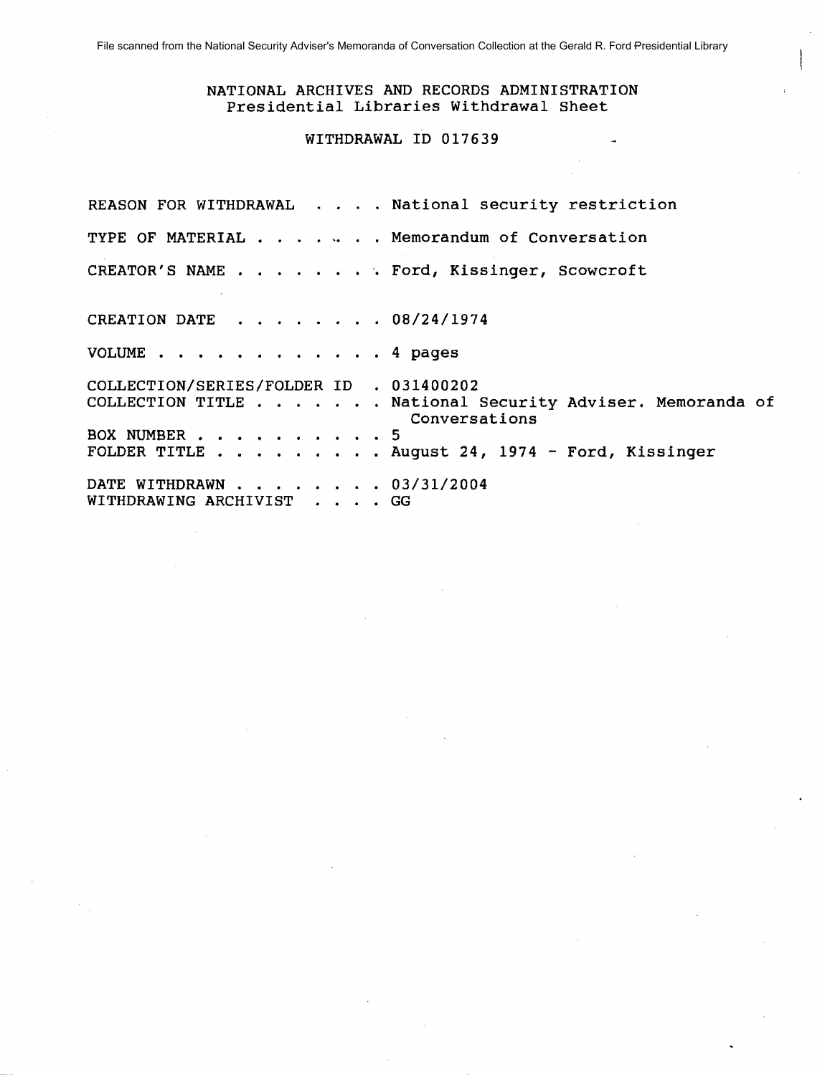### NATIONAL ARCHIVES AND RECORDS ADMINISTRATION Presidential Libraries Withdrawal Sheet

## WITHDRAWAL ID 017639

REASON FOR WITHDRAWAL . . . . National security restriction TYPE OF MATERIAL . **. ". .** · Memorandum of Conversation CREATOR'S NAME . . . . . . . . Ford, Kissinger, Scowcroft CREATION DATE  $\cdot \cdot \cdot \cdot \cdot \cdot 08/24/1974$ VOLUME . . . . . . . . . . . . 4 pages COLLECTION/SERIES/FOLDER ID . 031400202 COLLECTION TITLE . . . . . . National Security Adviser. Memoranda of BOX NUMBER . . . . . . . . . . BOX NUMBER . . . . . . . . . . 5<br>FOLDER TITLE . . . . . . . . . August 24, 1974 - Ford, Kissinger DATE WITHDRAWN . . . . . . . . . . 03/31/2004 WITHDRAWING ARCHIVIST . . . . GG Conversations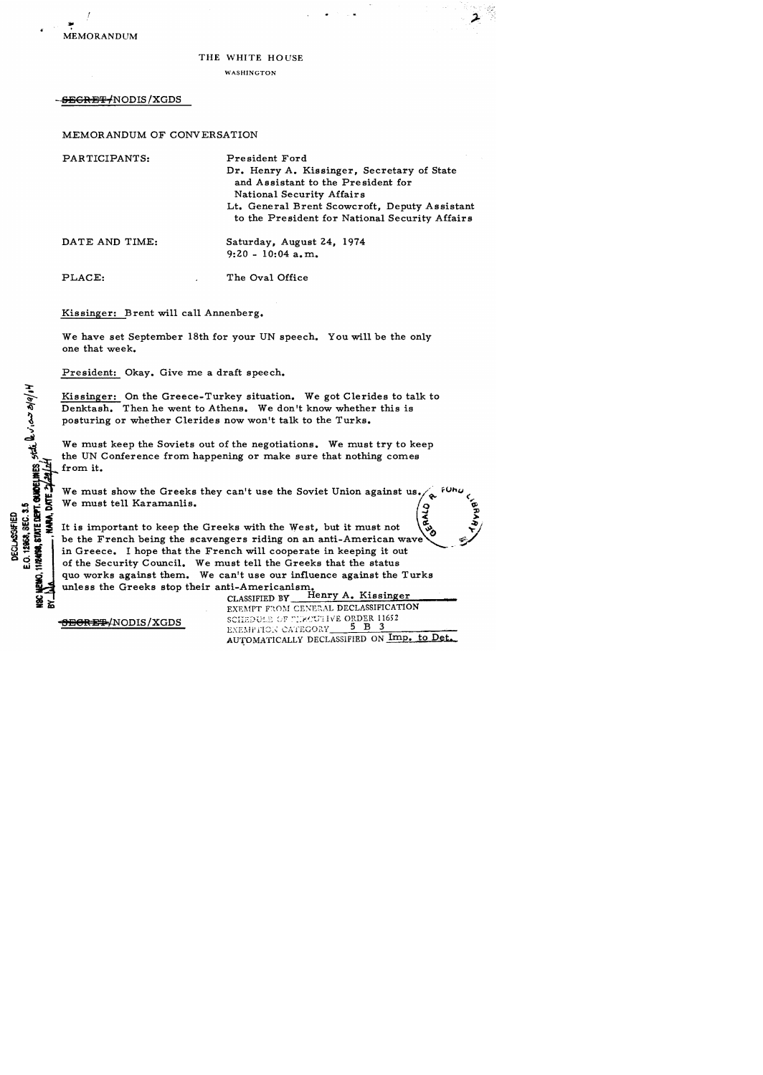

 $\frac{1}{2}$  $\phi$ 

 $\frac{3}{2}$ 

#### THE WHITE HOUSE

WASHINGTON

SEGRET/NODIS/XGDS

MEMORANDUM OF CONVERSATION

PARTICIPANTS: DATE AND TIME: Pre sident Ford Dr. Henry A. Kissinger, Secretary of State and Assistant to the Pre sident for National Security Affairs Lt. General Brent Scowcroft, Deputy Assistant to the President for National Security Affairs Saturday, August 24, 1974  $9:20 - 10:04$  a.m.

PLACE: The Oval Office

Kissinger: Brent will call Annenberg.

We have set September 18th for your UN speech. You will be the only one that week.

President: Okay. Give me a draft speech.

Kissinger: On the Greece-Turkey situation. We got Clerides to talk to Denktash. Then he went to Athens. We don't know whether this is posturing or whether Clerides now won't talk to the Turks •

We must keep the Soviets out of the negotiations. We must try to keep the UN Conference from happening or make sure that nothing comes from it.

We must show the Greeks they can't use the Soviet Union against us  $\begin{pmatrix} 9 \\ 2 \\ 3 \end{pmatrix}$ <br>We must tell Karamanlis.

s We must tell Karamanlis.<br>
So that is important to keep the<br>
so that is important to keep the<br>
so the French being the so<br>
in Greece. I hope that the  $~^{11}_{22}$   $~^{12}_{23}$   $~^{13}_{24}$  It is important to keep the Greeks with the West, but it must not  $~^{22}_{23}$   $~^{12}_{24}$   $~^{13}_{24}$   $~^{14}_{24}$  in Greece. I hope that the French will cooperate in keeping it out be the French being the scavengers riding on an anti-American wave in Greece. I hope that the French will cooperate in keeping it out of the Security Council. We must tell the Greeks that the status quo works against them. We can't use our influence against the Turks unless the Greeks stop their anti-Americanism.

CLASSIFIED BY Henry A. Kissinger EXEMPT FROM CENERAL DECLASSIFICATION SCE3;)U' ~;f< "~:r./~:n lyE ORDER 11652 '\'r;~J""I/' . *· ....* :··'I?"'O"''1 5 B 3 .d,i\ t ~ "' .... ,","'11""V 1, \_\_ =--.:::::..--.::;.-::;----:--=""""":"- EXEMPTION CATEGORY 5 B 3<br>AUTOMATICALLY DECLASSIFIED ON Imp. to Det.

**<del>SECRET/</del>NODIS/XGDS**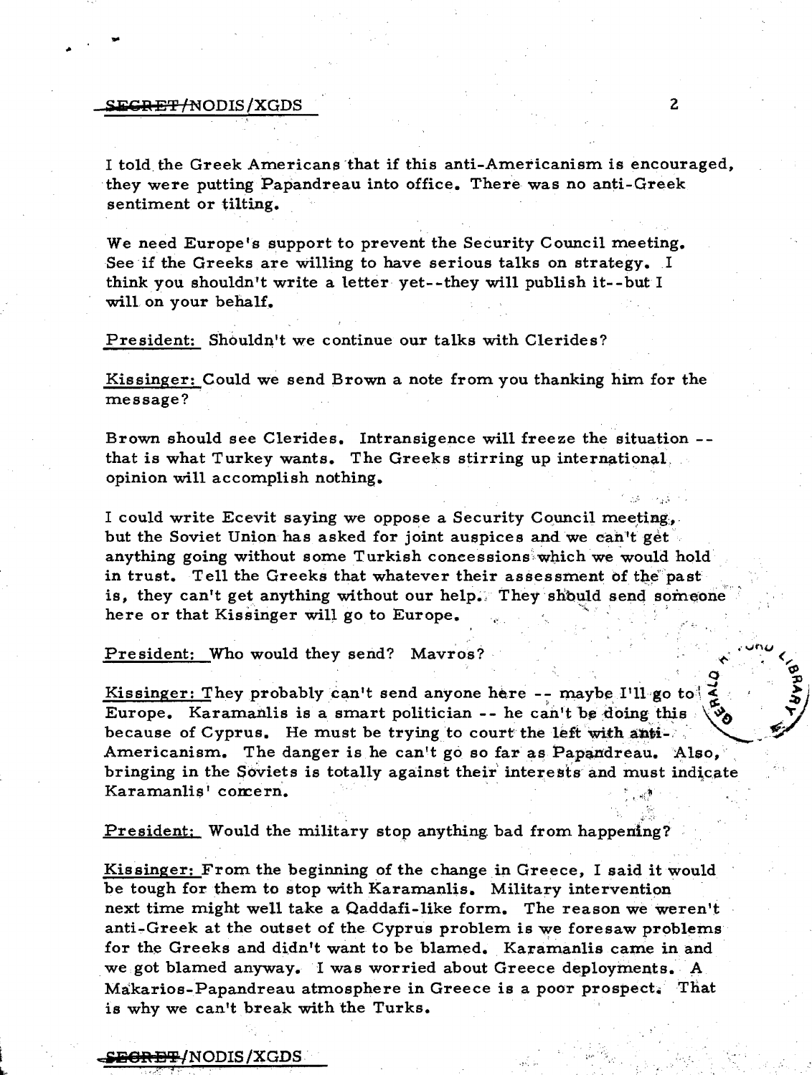#### <del>EGRET/N</del>ODIS/XGDS

I told the Greek Americans that if this anti-Americanism is encouraged, they were putting Papandreau into office. There was no anti-Greek sentiment or tilting.

We need Europe's support to prevent the Security Council meeting. See if the Greeks are willing to have serious talks on strategy. I think you shouldn't write a letter yet--they will publish it--but I will on your behalf.

President: Shouldn't we continue our talks with Clerides?

Kissinger: Could we send Brown a note from you thanking him for the message?

Brown should see Clerides. Intransigence will freeze the situation -that is what Turkey wants. The Greeks stirring up international. opinion will accomplish nothing.

I could write Ecevit saying we oppose a Security Council meeting. but the Soviet Union has asked for joint auspices and we can't get anything going without some Turkish concessions which we would hold in trust. Tell the Greeks that whatever their assessment of the past is, they can't get anything without our help. They should send someone here or that Kissinger will go to Europe.

President: Who would they send? Mavros?

<u>Kissinger: They probably can't send anyone here -- maybe I'll</u> go to Europe. Karamanlis is a smart politician  $-$ - he can't be doing this because of Cyprus. He must be trying to court the left with anti-Americanism. The danger is he can't go so far as Papandreau. Also, bringing in the Soviets is totally against their interests and must indicate Karamanlis' comern.

President: Would the military stop anything bad from happening?

Kissinger: From the beginning of the change in Greece. I said it would be tough for them to stop with Karamanlis. Military intervention next time might well take a Qaddafi-like form. The reason we weren't anti-Greek at the outset of the Cyprus problem is we foresaw problems for the Greeks and didn't want to be blamed. Karamanlis came in and we got blamed anyway. I was worried about Greece deployments. A Makarios-Papandreau atmosphere in Greece is a poor prospect. That is why we can't break with the Turks.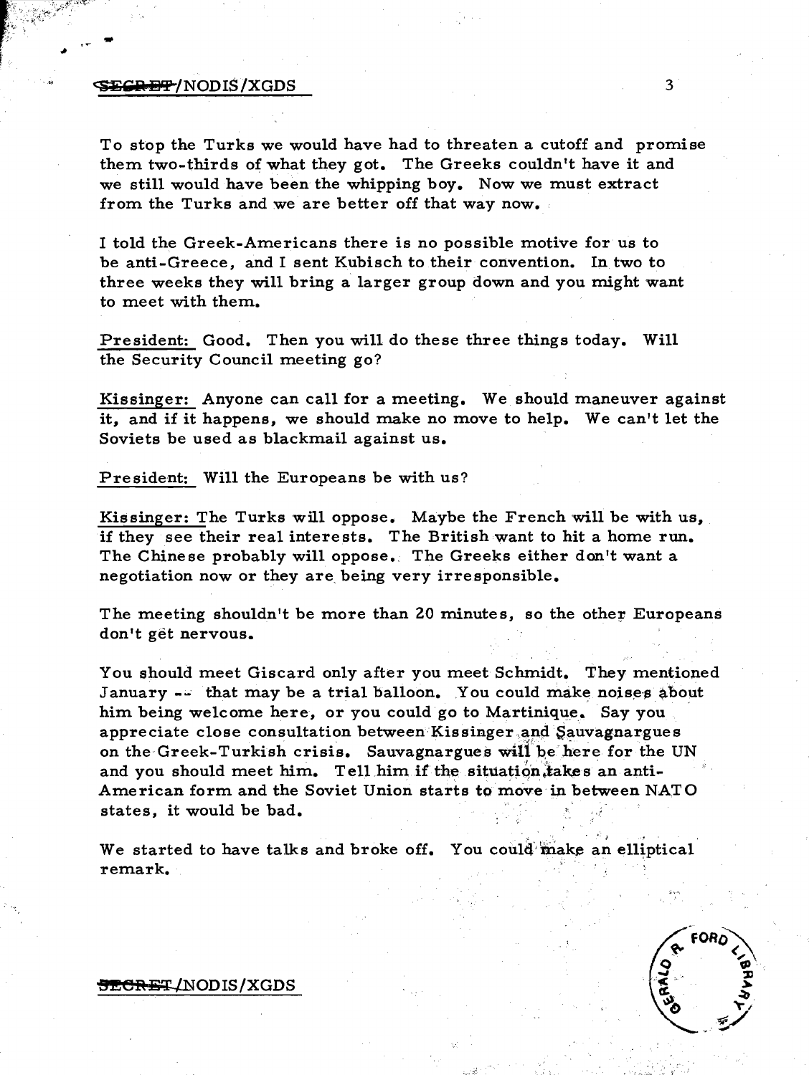### $\mathbf{EGR} = \mathbf{P}$ /NODIS/XGDS 3

...

To stop the Turks we would have had to threaten a cutoff and promise them two-thirds of what they got. The Greeks couldn't have it and we still would have been the whipping boy. Now we must extract from the Turks and we are better off that way now.

I told the Greek-Americans there is no possible motive for us to be anti-Greece, and I sent Kubisch to their convention. In two to three weeks they will bring a larger group down and you might want to meet with them.

President: Good. Then you will do these three things today. Will the Security Council meeting go?

Kissinger: Anyone can call for a meeting. We should maneuver against it, and if it happens, we should make no move to help. We can't let the Soviets be used as blackmail against us.

President: Will the Europeans be with us?

Kissinger: The Turks will oppose. Maybe the French will be with us, if they see their real interests. The British want to hit a home run. The Chinese probably will oppose. The Greeks either don't want a negotiation now or they are, being very irresponsible.

The meeting shouldn't be more than 20 minutes, so the other Europeans don't get nervous.

You should meet Giscard only after you meet Schmidt. They mentioned January -- that may be a trial balloon. You could make noises about him being welcome here, or you could go to Martinique. Say you appreciate close consultation between Kissinger and Sauvagnargues on the Greek-Turkish crisis. Sauvagnargues will be here for the UN and you should meet him. Tell him if the situation, takes an anti-American form and the Soviet Union starts to move in between NATO him being welcome here, or you could go to Martinique. Say y<br>appreciate close consultation between Kissinger and Sauvagnary<br>on the Greek-Turkish crisis. Sauvagnargues will be here for t<br>and you should meet him. Tell him if

states, it would be bad.<br>We started to have talks and broke off. You could make an elliptical remark.



#### <del>5ECRE</del>T/NODIS/XGDS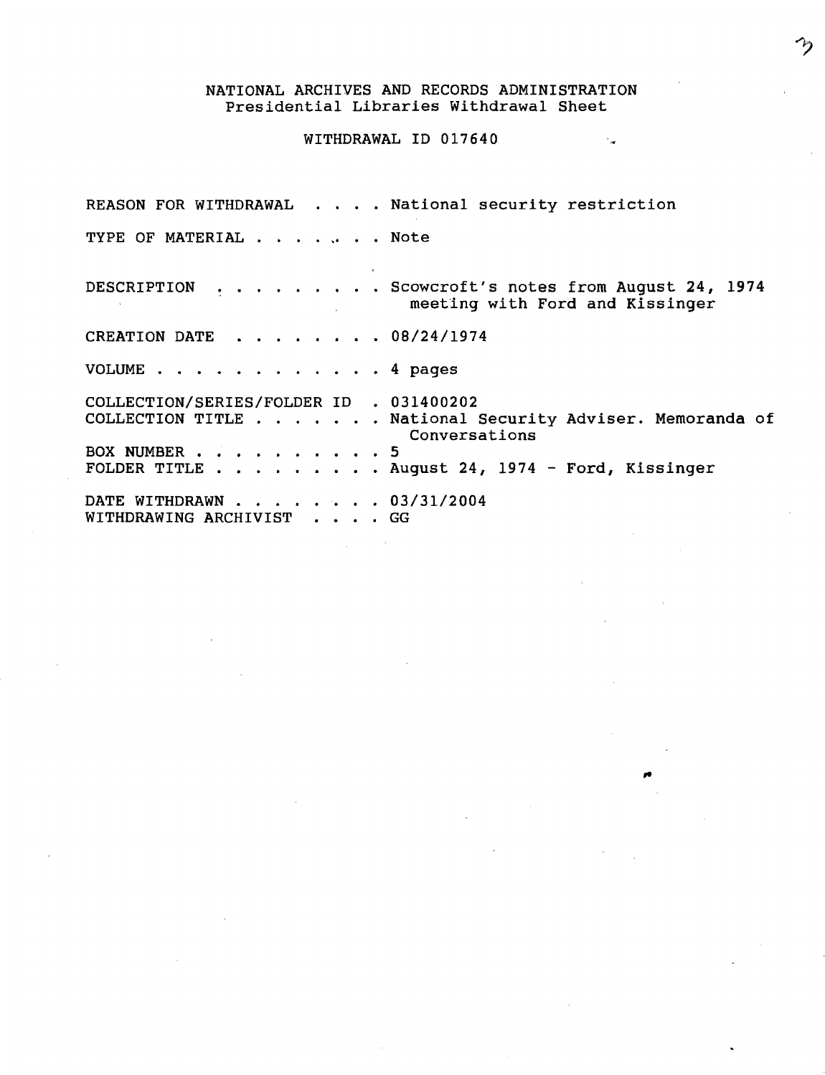## NATIONAL ARCHIVES AND RECORDS ADMINISTRATION Presidential Libraries Withdrawal Sheet

 $\cdot$  .

# WITHDRAWAL ID 017640

REASON FOR WITHDRAWAL . . . . National security restriction TYPE OF MATERIAL . . . . . . Note DESCRIPTION CREATION DATE VOLUME . . . . . . . . . . . 4 pages . . . . . . . . Scowcroft's notes from August 24, 1974 meeting with Ford and Kissinger  $\cdots$   $\cdots$   $\cdots$  08/24/1974 COLLECTION/SERIES/FOLDER ID . 031400202 COLLECTION TITLE . . . . . . National Security Adviser. Memoranda of Conversations BOX NUMBER . . . . . . . . . 5 FOLDER TITLE . . . . . . . . . August 24, 1974 - Ford, Kissinger FOLDER TITLE . . . . . . . . . August 24,<br>DATE WITHDRAWN . . . . . . . . 03/31/2004 WITHDRAWING ARCHIVIST . . . . GG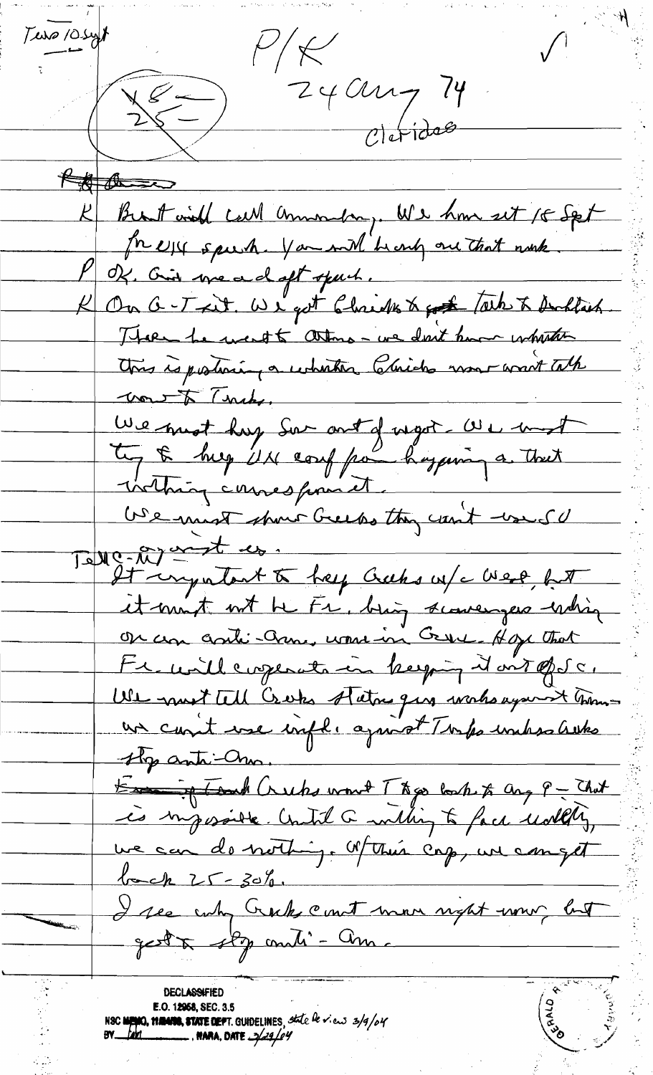$T = 10.5$  $P/k$  $\frac{1}{25}$   $\frac{240u}{c|dr|}$ Kill the se K Brot with call announce, We have set 15 Set In expected you will be any one that work P Of Girl we adopt spuch. K On G-T-ait. We got Christen to got tale to Dochlach. Ttoen te ment té attens - ve dont home interstate wont Trubs. We must hay sur out d'ugot UL must tig & hug UN coup par hoggering a that USe mist show Greeps they can't would Tette-Mointent à help crubs en/c West, fit et mont not be Fr, big scoverges whin On un contri-cheme, women in Cryer Hope that Fremillemperatric keeping dont of Sc. USL must tell Creeks status que works against moment un count une infli aprist Turps unhasslistes the anti-m. En ig Tank Crubs won't Theo back to any P - That une can de nothing. Wthen cap, une can get back 25-30%.<br>I see why Crock court mor night wow but gest à stop andi - Am. **CONSTRUCTION DECLASSIFIED** E.O. 12958, SEC. 3.5<br>NSC NEWO, 1120418, STATE DEPT. GUIDELINES, State be view 3/9/04<br>BY feri MARA, DATE 3/29/04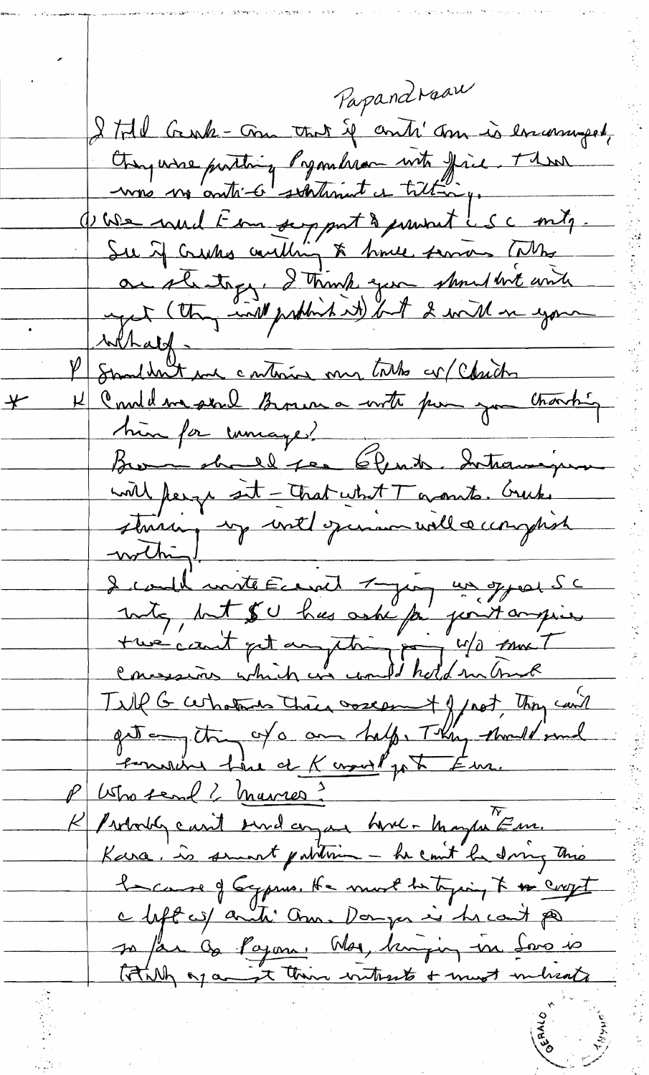Papandraau I till Gruh-Gru that if anti' Jon is encounged, Changeaise partire proponderan unt fine. Then Que coul Emport de produit LSC mitj. Su if crushes coulding to have some time au stantage, I trink you shoul bit with P Smilhen enteries my tales en Chich 1) Commeliana send Barriera with pour you chanting  $\frac{1}{\sqrt{2}}$ hin for unage! <u>with perge sit - That what T grants. Greeks</u> string unt quincuillacinguist I could mitte Eccret 7 join un greu Sc Till G certains their orient of not, they can't get any of a come half, They should send emercie lieu et Kernet pet Eur. P Usho send ? Marres?<br>R Probotg carit surdanzan homer Mayer Em. Kara. is smoot publisen - he count he dring this because of Gypsus. He must be trying to the coupt a lift of anti anna Donger is he can't po so far de Pajon. Moi, huijing in Saro is totally of any their without + must melicate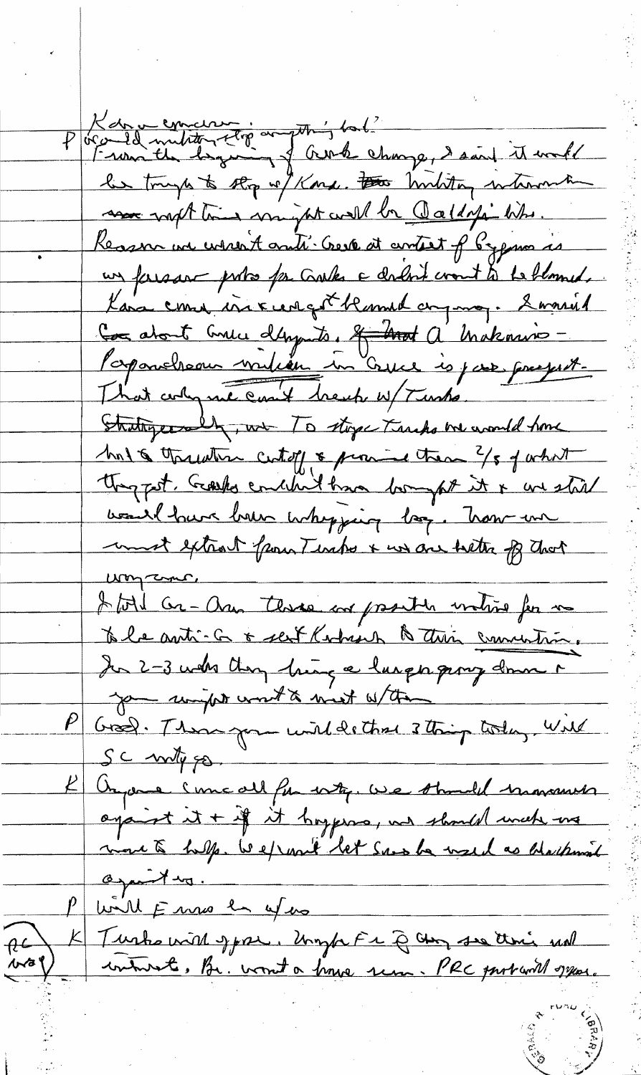Kan a concernant de l'autre et de la change, daoit it mall Reason we weren't auti. Geve at antest of bygma is un farsar portes for Carlos a carloit cront to be blomed. Kana come increment blamed any may. Somment Con about Consci d'Angents. A Mot a Makazino -Paparoheau milieu in Crice is jour present. That colyme can't brench w/ Turks Stratigerally, we To stope Tracks be would home has threaten certify & provide them ?/ 5 of what thought. Grashs conclude than longhit it & we shill want have been whopping log. Now un must extract from Tendes & we are better of that um come I tol Gr-an three or protein waters for me to be auti- a o sent Korbisch & this commention. Jan 2-3 who they hing a larger pory down a you wingth work to mist without Gross. Those game unit de that 3 thing today Will SC mitygo Organe suncall for why. We should know with against it + if it happens, we should wrich use more to help. We won't let some be used as blackment against my. P will E me en yes K Turks with spore. Umph Fr & am so this will  $A^2$  $\frac{1}{\sqrt{2}}$ contract, Br. won't a house sem. PRC part will system